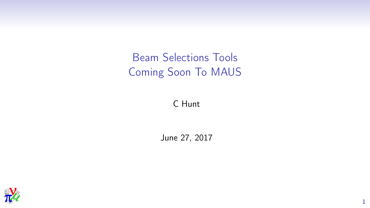Beam Selections Tools Coming Soon To MAUS

C Hunt

June 27, 2017

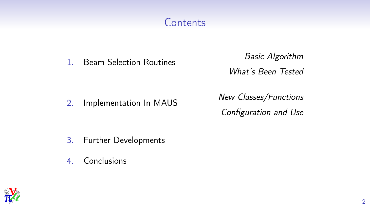### **Contents**

1. Beam Selection Routines Basic Algorithm What's Been Tested

2. Implementation In MAUS New Classes/Functions Configuration and Use

- 3. Further Developments
- 4. Conclusions

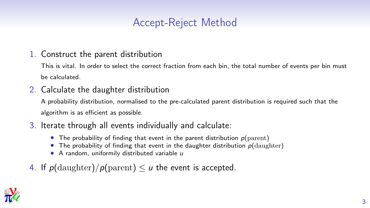### Accept-Reject Method

#### 1. Construct the parent distribution

This is vital. In order to select the correct fraction from each bin, the total number of events per bin must be calculated.

### 2. Calculate the daughter distribution

A probability distribution, normalised to the pre-calculated parent distribution is required such that the algorithm is as efficient as possible.

- 3. Iterate through all events individually and calculate:
	- The probability of finding that event in the parent distribution  $p$ (parent)
	- The probability of finding that event in the daughter distribution  $p(\text{day}$ hter)
	- $\bullet$  A random, uniformily distributed variable  $\mu$
- 4. If  $p$ (daughter)/ $p$ (parent)  $\leq u$  the event is accepted.

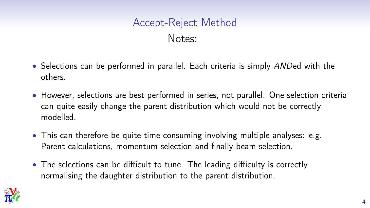# Accept-Reject Method Notes:

- Selections can be performed in parallel. Each criteria is simply ANDed with the others.
- However, selections are best performed in series, not parallel. One selection criteria can quite easily change the parent distribution which would not be correctly modelled.
- This can therefore be quite time consuming involving multiple analyses: e.g. Parent calculations, momentum selection and finally beam selection.
- The selections can be difficult to tune. The leading difficulty is correctly normalising the daughter distribution to the parent distribution.

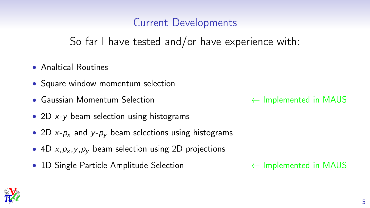### Current Developments

So far I have tested and/or have experience with:

- Analtical Routines
- Square window momentum selection
- Gaussian Momentum Selection 
← Implemented in MAUS
- 2D  $x-y$  beam selection using histograms
- 2D  $x-p_x$  and  $y-p_y$  beam selections using histograms
- 4D  $x, p_x, y, p_y$  beam selection using 2D projections
- 1D Single Particle Amplitude Selection ← Implemented in MAUS

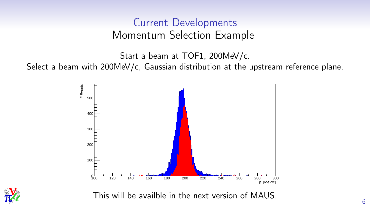### Current Developments Momentum Selection Example

Start a beam at TOF1, 200MeV/c.

Select a beam with 200MeV/c, Gaussian distribution at the upstream reference plane.





This will be availble in the next version of MAUS.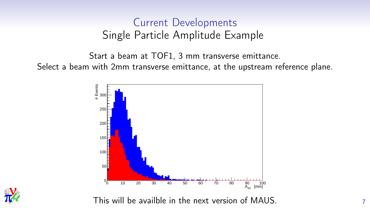### Current Developments Single Particle Amplitude Example

Start a beam at TOF1, 3 mm transverse emittance. Select a beam with 2mm transverse emittance, at the upstream reference plane.





This will be availble in the next version of MAUS.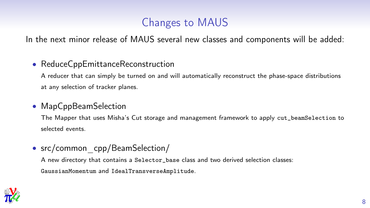### Changes to MAUS

In the next minor release of MAUS several new classes and components will be added:

#### • ReduceCppEmittanceReconstruction

A reducer that can simply be turned on and will automatically reconstruct the phase-space distributions at any selection of tracker planes.

#### • MapCppBeamSelection

The Mapper that uses Misha's Cut storage and management framework to apply cut\_beamSelection to selected events.

• src/common cpp/BeamSelection/

A new directory that contains a Selector\_base class and two derived selection classes: GaussianMomentum and IdealTransverseAmplitude.

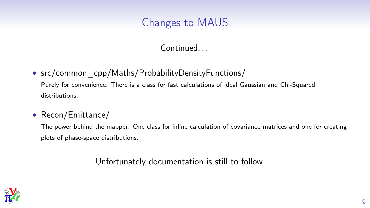### Changes to MAUS

### Continued. . .

• src/common cpp/Maths/ProbabilityDensityFunctions/

Purely for convenience. There is a class for fast calculations of ideal Gaussian and Chi-Squared distributions.

### • Recon/Emittance/

The power behind the mapper. One class for inline calculation of covariance matrices and one for creating plots of phase-space distributions.

Unfortunately documentation is still to follow. . .

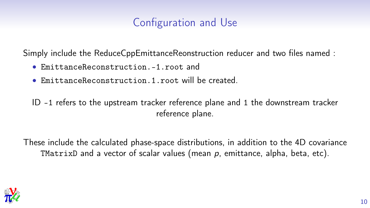### Configuration and Use

Simply include the ReduceCppEmittanceReonstruction reducer and two files named :

- EmittanceReconstruction.-1.root and
- EmittanceReconstruction.1.root will be created.

ID -1 refers to the upstream tracker reference plane and 1 the downstream tracker reference plane.

These include the calculated phase-space distributions, in addition to the 4D covariance TMatrixD and a vector of scalar values (mean  $p$ , emittance, alpha, beta, etc).

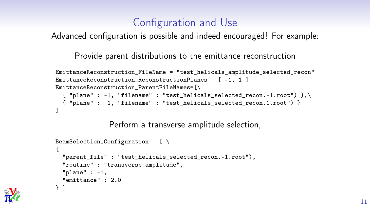### Configuration and Use

Advanced configuration is possible and indeed encouraged! For example:

Provide parent distributions to the emittance reconstruction

```
EmittanceReconstruction_FileName = "test_helicals_amplitude_selected_recon"
EmittanceReconstruction ReconstructionPlanes = [-1, 1]EmittanceReconstruction_ParentFileNames=[\
 {\{ "plane" : -1, "filename" : "test_helicals_selected_recon.-1.root") \},
 { "plane" : 1, "filename" : "test_helicals_selected_recon.1.root") }
]
```
Perform a transverse amplitude selection,

```
BeamSelection_Configuration = [\ ]{
  "parent_file" : "test_helicals_selected_recon.-1.root"),
  "routine" : "transverse_amplitude",
  "plane" : -1,
  "emittance" : 2.0
} ]
```
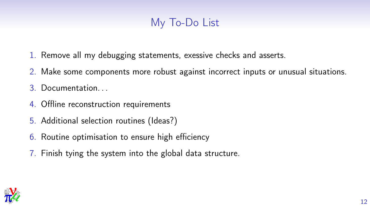### My To-Do List

- 1. Remove all my debugging statements, exessive checks and asserts.
- 2. Make some components more robust against incorrect inputs or unusual situations.
- 3. Documentation. . .
- 4. Offline reconstruction requirements
- 5. Additional selection routines (Ideas?)
- 6. Routine optimisation to ensure high efficiency
- 7. Finish tying the system into the global data structure.